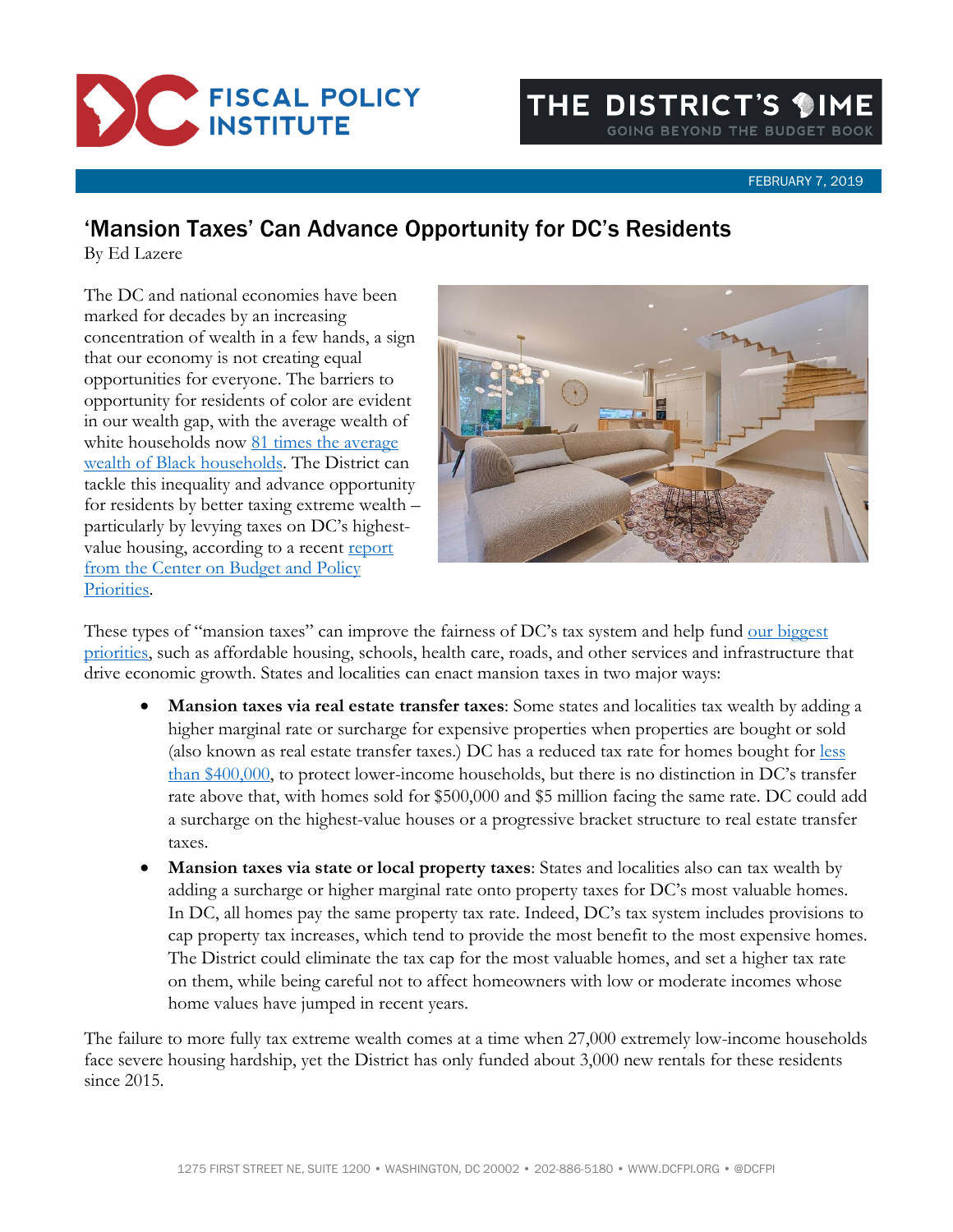

## FEBRUARY 7, 2019

## 'Mansion Taxes' Can Advance Opportunity for DC's Residents

By Ed Lazere

The DC and national economies have been marked for decades by an increasing concentration of wealth in a few hands, a sign that our economy is not creating equal opportunities for everyone. The barriers to opportunity for residents of color are evident in our wealth gap, with the average wealth of white households now 81 times the average [wealth of Black households.](https://www.dcfpi.org/all/economic-inequality-in-dc-reflects-disparities-in-income-wages-wealth-and-economic-mobility-policy-solutions-should-too/) The District can tackle this inequality and advance opportunity for residents by better taxing extreme wealth – particularly by levying taxes on DC's highestvalue housing, according to a recent report [from the Center on Budget and Policy](https://www.cbpp.org/research/state-budget-and-tax/state-mansion-taxes-on-very-expensive-homes)  [Priorities.](https://www.cbpp.org/research/state-budget-and-tax/state-mansion-taxes-on-very-expensive-homes)



These types of "mansion taxes" can improve the fairness of DC's tax system and help fund our biggest [priorities,](https://www.dcfpi.org/all/we-need-a-budget-that-invests-in-the-building-blocks-for-a-thriving-dc/) such as affordable housing, schools, health care, roads, and other services and infrastructure that drive economic growth. States and localities can enact mansion taxes in two major ways:

- **Mansion taxes via real estate transfer taxes**: Some states and localities tax wealth by adding a higher marginal rate or surcharge for expensive properties when properties are bought or sold (also known as real estate transfer taxes.) DC has a reduced tax rate for homes bought for [less](https://cfo.dc.gov/page/tax-rates-and-revenues-property-taxes)  [than \\$400,000,](https://cfo.dc.gov/page/tax-rates-and-revenues-property-taxes) to protect lower-income households, but there is no distinction in DC's transfer rate above that, with homes sold for \$500,000 and \$5 million facing the same rate. DC could add a surcharge on the highest-value houses or a progressive bracket structure to real estate transfer taxes.
- **Mansion taxes via state or local property taxes**: States and localities also can tax wealth by adding a surcharge or higher marginal rate onto property taxes for DC's most valuable homes. In DC, all homes pay the same property tax rate. Indeed, DC's tax system includes provisions to cap property tax increases, which tend to provide the most benefit to the most expensive homes. The District could eliminate the tax cap for the most valuable homes, and set a higher tax rate on them, while being careful not to affect homeowners with low or moderate incomes whose home values have jumped in recent years.

The failure to more fully tax extreme wealth comes at a time when 27,000 extremely low-income households face severe housing hardship, yet the District has only funded about 3,000 new rentals for these residents since 2015.